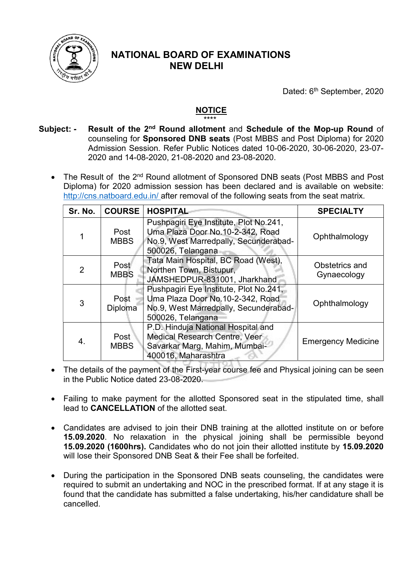

## NATIONAL BOARD OF EXAMINATIONS NEW DELHI

Dated: 6<sup>th</sup> September, 2020

## NOTICE \*\*\*\*

- Subject: Result of the 2<sup>nd</sup> Round allotment and Schedule of the Mop-up Round of counseling for Sponsored DNB seats (Post MBBS and Post Diploma) for 2020 Admission Session. Refer Public Notices dated 10-06-2020, 30-06-2020, 23-07- 2020 and 14-08-2020, 21-08-2020 and 23-08-2020.
	- The Result of the 2<sup>nd</sup> Round allotment of Sponsored DNB seats (Post MBBS and Post Diploma) for 2020 admission session has been declared and is available on website: http://cns.natboard.edu.in/ after removal of the following seats from the seat matrix.

| Sr. No.        | <b>COURSE</b>          | <b>HOSPITAL</b>                                                                                                                          | <b>SPECIALTY</b>              |
|----------------|------------------------|------------------------------------------------------------------------------------------------------------------------------------------|-------------------------------|
|                | Post<br><b>MBBS</b>    | Pushpagiri Eye Institute, Plot No.241,<br>Uma Plaza Door No.10-2-342, Road<br>No.9, West Marredpally, Secunderabad-<br>500026, Telangana | Ophthalmology                 |
| $\overline{2}$ | Post<br><b>MBBS</b>    | Tata Main Hospital, BC Road (West),<br>Northen Town, Bistupur,<br>JAMSHEDPUR-831001, Jharkhand                                           | Obstetrics and<br>Gynaecology |
| 3              | Post<br><b>Diploma</b> | Pushpagiri Eye Institute, Plot No.241,<br>Uma Plaza Door No.10-2-342, Road<br>No.9, West Marredpally, Secunderabad-<br>500026, Telangana | Ophthalmology                 |
| 4.             | Post<br><b>MBBS</b>    | P.D. Hinduja National Hospital and<br>Medical Research Centre, Veer<br>Savarkar Marg, Mahim, Mumbai-<br>400016, Maharashtra              | <b>Emergency Medicine</b>     |

- The details of the payment of the First-year course fee and Physical joining can be seen in the Public Notice dated 23-08-2020.
- Failing to make payment for the allotted Sponsored seat in the stipulated time, shall lead to CANCELLATION of the allotted seat.
- Candidates are advised to join their DNB training at the allotted institute on or before 15.09.2020. No relaxation in the physical joining shall be permissible beyond 15.09.2020 (1600hrs). Candidates who do not join their allotted institute by 15.09.2020 will lose their Sponsored DNB Seat & their Fee shall be forfeited.
- During the participation in the Sponsored DNB seats counseling, the candidates were required to submit an undertaking and NOC in the prescribed format. If at any stage it is found that the candidate has submitted a false undertaking, his/her candidature shall be cancelled.